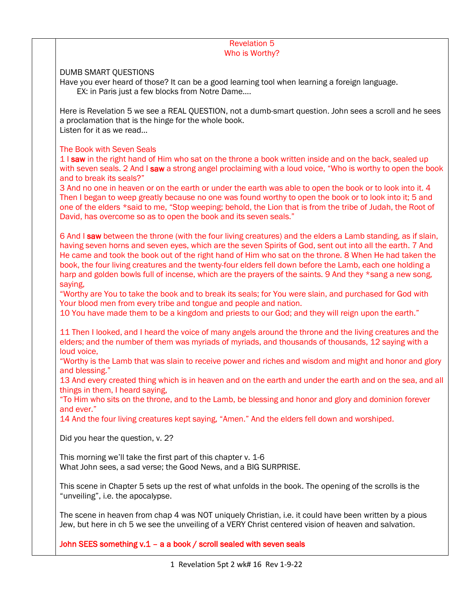## Revelation 5 Who is Worthy?

## DUMB SMART QUESTIONS

Have you ever heard of those? It can be a good learning tool when learning a foreign language. EX: in Paris just a few blocks from Notre Dame....

Here is Revelation 5 we see a REAL QUESTION, not a dumb-smart question. John sees a scroll and he sees a proclamation that is the hinge for the whole book. Listen for it as we read…

## The Book with Seven Seals

1 I saw in the right hand of Him who sat on the throne a book written inside and on the back, sealed up with seven seals. 2 And I saw a strong angel proclaiming with a loud voice, "Who is worthy to open the book and to break its seals?"

3 And no one in heaven or on the earth or under the earth was able to open the book or to look into it. 4 Then I began to weep greatly because no one was found worthy to open the book or to look into it; 5 and one of the elders \*said to me, "Stop weeping; behold, the Lion that is from the tribe of Judah, the Root of David, has overcome so as to open the book and its seven seals."

6 And I saw between the throne (with the four living creatures) and the elders a Lamb standing, as if slain, having seven horns and seven eyes, which are the seven Spirits of God, sent out into all the earth. 7 And He came and took the book out of the right hand of Him who sat on the throne. 8 When He had taken the book, the four living creatures and the twenty-four elders fell down before the Lamb, each one holding a harp and golden bowls full of incense, which are the prayers of the saints. 9 And they \*sang a new song, saying,

"Worthy are You to take the book and to break its seals; for You were slain, and purchased for God with Your blood men from every tribe and tongue and people and nation.

10 You have made them to be a kingdom and priests to our God; and they will reign upon the earth."

11 Then I looked, and I heard the voice of many angels around the throne and the living creatures and the elders; and the number of them was myriads of myriads, and thousands of thousands, 12 saying with a loud voice,

"Worthy is the Lamb that was slain to receive power and riches and wisdom and might and honor and glory and blessing."

13 And every created thing which is in heaven and on the earth and under the earth and on the sea, and all things in them, I heard saying,

"To Him who sits on the throne, and to the Lamb, be blessing and honor and glory and dominion forever and ever."

14 And the four living creatures kept saying, "Amen." And the elders fell down and worshiped.

Did you hear the question, v. 2?

This morning we'll take the first part of this chapter v. 1-6 What John sees, a sad verse; the Good News, and a BIG SURPRISE.

This scene in Chapter 5 sets up the rest of what unfolds in the book. The opening of the scrolls is the "unveiling", i.e. the apocalypse.

The scene in heaven from chap 4 was NOT uniquely Christian, i.e. it could have been written by a pious Jew, but here in ch 5 we see the unveiling of a VERY Christ centered vision of heaven and salvation.

John SEES something v.1 – a a book / scroll sealed with seven seals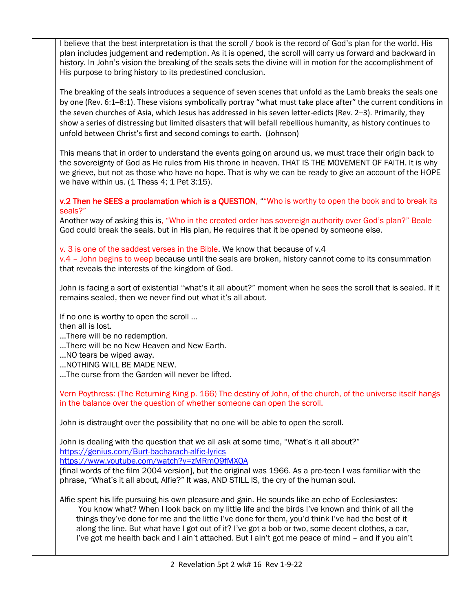I believe that the best interpretation is that the scroll / book is the record of God's plan for the world. His plan includes judgement and redemption. As it is opened, the scroll will carry us forward and backward in history. In John's vision the breaking of the seals sets the divine will in motion for the accomplishment of His purpose to bring history to its predestined conclusion.

The breaking of the seals introduces a sequence of seven scenes that unfold as the Lamb breaks the seals one by one (Rev. 6:1–8:1). These visions symbolically portray "what must take place after" the current conditions in the seven churches of Asia, which Jesus has addressed in his seven letter-edicts (Rev. 2–3). Primarily, they show a series of distressing but limited disasters that will befall rebellious humanity, as history continues to unfold between Christ's first and second comings to earth. (Johnson)

This means that in order to understand the events going on around us, we must trace their origin back to the sovereignty of God as He rules from His throne in heaven. THAT IS THE MOVEMENT OF FAITH. It is why we grieve, but not as those who have no hope. That is why we can be ready to give an account of the HOPE we have within us. (1 Thess 4; 1 Pet 3:15).

v.2 Then he SEES a proclamation which is a QUESTION, ""Who is worthy to open the book and to break its seals?"

Another way of asking this is, "Who in the created order has sovereign authority over God's plan?" Beale God could break the seals, but in His plan, He requires that it be opened by someone else.

v. 3 is one of the saddest verses in the Bible. We know that because of v.4

v.4 – John begins to weep because until the seals are broken, history cannot come to its consummation that reveals the interests of the kingdom of God.

John is facing a sort of existential "what's it all about?" moment when he sees the scroll that is sealed. If it remains sealed, then we never find out what it's all about.

If no one is worthy to open the scroll …

then all is lost.

- …There will be no redemption.
- …There will be no New Heaven and New Earth.
- …NO tears be wiped away.
- …NOTHING WILL BE MADE NEW.
- …The curse from the Garden will never be lifted.

Vern Poythress: (The Returning King p. 166) The destiny of John, of the church, of the universe itself hangs in the balance over the question of whether someone can open the scroll.

John is distraught over the possibility that no one will be able to open the scroll.

John is dealing with the question that we all ask at some time, "What's it all about?" <https://genius.com/Burt-bacharach-alfie-lyrics>

<https://www.youtube.com/watch?v=zMRmO9fMXQA>

[final words of the film 2004 version], but the original was 1966. As a pre-teen I was familiar with the phrase, "What's it all about, Alfie?" It was, AND STILL IS, the cry of the human soul.

Alfie spent his life pursuing his own pleasure and gain. He sounds like an echo of Ecclesiastes: You know what? When I look back on my little life and the birds I've known and think of all the things they've done for me and the little I've done for them, you'd think I've had the best of it along the line. But what have I got out of it? I've got a bob or two, some decent clothes, a car, I've got me health back and I ain't attached. But I ain't got me peace of mind – and if you ain't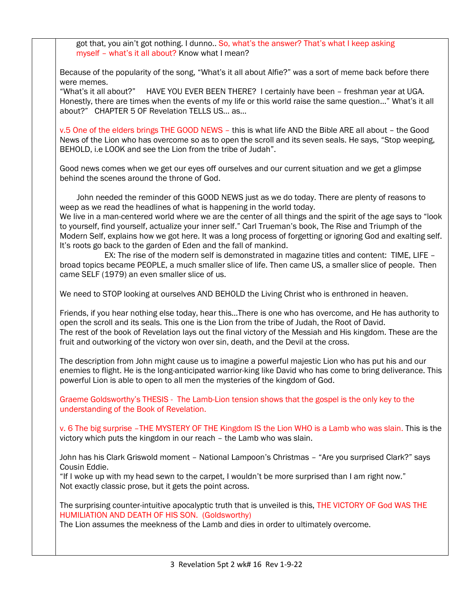got that, you ain't got nothing. I dunno.. So, what's the answer? That's what I keep asking myself – what's it all about? Know what I mean?

Because of the popularity of the song, "What's it all about Alfie?" was a sort of meme back before there were memes.

"What's it all about?" HAVE YOU EVER BEEN THERE? I certainly have been – freshman year at UGA. Honestly, there are times when the events of my life or this world raise the same question…" What's it all about?" CHAPTER 5 OF Revelation TELLS US… as…

v.5 One of the elders brings THE GOOD NEWS – this is what life AND the Bible ARE all about – the Good News of the Lion who has overcome so as to open the scroll and its seven seals. He says, "Stop weeping, BEHOLD, i.e LOOK and see the Lion from the tribe of Judah".

Good news comes when we get our eyes off ourselves and our current situation and we get a glimpse behind the scenes around the throne of God.

 John needed the reminder of this GOOD NEWS just as we do today. There are plenty of reasons to weep as we read the headlines of what is happening in the world today.

We live in a man-centered world where we are the center of all things and the spirit of the age says to "look to yourself, find yourself, actualize your inner self." Carl Trueman's book, The Rise and Triumph of the Modern Self, explains how we got here. It was a long process of forgetting or ignoring God and exalting self. It's roots go back to the garden of Eden and the fall of mankind.

 EX: The rise of the modern self is demonstrated in magazine titles and content: TIME, LIFE – broad topics became PEOPLE, a much smaller slice of life. Then came US, a smaller slice of people. Then came SELF (1979) an even smaller slice of us.

We need to STOP looking at ourselves AND BEHOLD the Living Christ who is enthroned in heaven.

Friends, if you hear nothing else today, hear this…There is one who has overcome, and He has authority to open the scroll and its seals. This one is the Lion from the tribe of Judah, the Root of David. The rest of the book of Revelation lays out the final victory of the Messiah and His kingdom. These are the fruit and outworking of the victory won over sin, death, and the Devil at the cross.

The description from John might cause us to imagine a powerful majestic Lion who has put his and our enemies to flight. He is the long-anticipated warrior-king like David who has come to bring deliverance. This powerful Lion is able to open to all men the mysteries of the kingdom of God.

Graeme Goldsworthy's THESIS - The Lamb-Lion tension shows that the gospel is the only key to the understanding of the Book of Revelation.

v. 6 The big surprise –THE MYSTERY OF THE Kingdom IS the Lion WHO is a Lamb who was slain. This is the victory which puts the kingdom in our reach – the Lamb who was slain.

John has his Clark Griswold moment – National Lampoon's Christmas – "Are you surprised Clark?" says Cousin Eddie.

"If I woke up with my head sewn to the carpet, I wouldn't be more surprised than I am right now." Not exactly classic prose, but it gets the point across.

The surprising counter-intuitive apocalyptic truth that is unveiled is this, THE VICTORY OF God WAS THE HUMILIATION AND DEATH OF HIS SON. (Goldsworthy)

The Lion assumes the meekness of the Lamb and dies in order to ultimately overcome.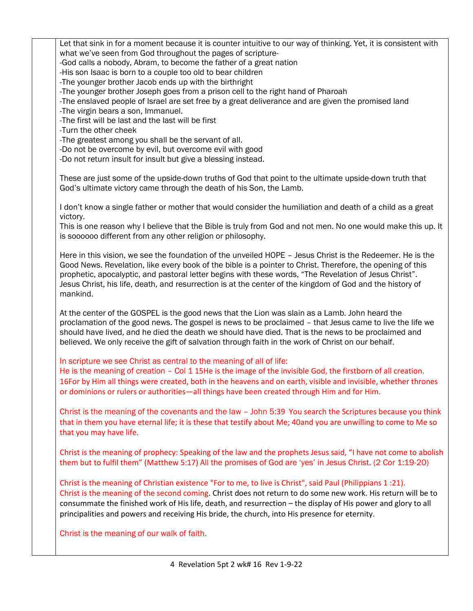Let that sink in for a moment because it is counter intuitive to our way of thinking. Yet, it is consistent with what we've seen from God throughout the pages of scripture- -God calls a nobody, Abram, to become the father of a great nation -His son Isaac is born to a couple too old to bear children -The younger brother Jacob ends up with the birthright -The younger brother Joseph goes from a prison cell to the right hand of Pharoah -The enslaved people of Israel are set free by a great deliverance and are given the promised land -The virgin bears a son, Immanuel. -The first will be last and the last will be first -Turn the other cheek -The greatest among you shall be the servant of all. -Do not be overcome by evil, but overcome evil with good -Do not return insult for insult but give a blessing instead. These are just some of the upside-down truths of God that point to the ultimate upside-down truth that God's ultimate victory came through the death of his Son, the Lamb. I don't know a single father or mother that would consider the humiliation and death of a child as a great victory. This is one reason why I believe that the Bible is truly from God and not men. No one would make this up. It is soooooo different from any other religion or philosophy. Here in this vision, we see the foundation of the unveiled HOPE – Jesus Christ is the Redeemer. He is the Good News. Revelation, like every book of the bible is a pointer to Christ. Therefore, the opening of this prophetic, apocalyptic, and pastoral letter begins with these words, "The Revelation of Jesus Christ". Jesus Christ, his life, death, and resurrection is at the center of the kingdom of God and the history of mankind. At the center of the GOSPEL is the good news that the Lion was slain as a Lamb. John heard the proclamation of the good news. The gospel is news to be proclaimed – that Jesus came to live the life we should have lived, and he died the death we should have died. That is the news to be proclaimed and believed. We only receive the gift of salvation through faith in the work of Christ on our behalf. In scripture we see Christ as central to the meaning of all of life: He is the meaning of creation – Col 1 15He is the image of the invisible God, the firstborn of all creation. 16For by Him all things were created, both in the heavens and on earth, visible and invisible, whether thrones or dominions or rulers or authorities—all things have been created through Him and for Him. Christ is the meaning of the covenants and the law – John 5:39 You search the Scriptures because you think that in them you have eternal life; it is these that testify about Me; 40and you are unwilling to come to Me so

Christ is the meaning of prophecy: Speaking of the law and the prophets Jesus said, "I have not come to abolish them but to fulfil them" (Matthew 5:17) All the promises of God are 'yes' in Jesus Christ. (2 Cor 1:19-20)

Christ is the meaning of Christian existence "For to me, to live is Christ", said Paul (Philippians 1 :21). Christ is the meaning of the second coming. Christ does not return to do some new work. His return will be to consummate the finished work of His life, death, and resurrection – the display of His power and glory to all principalities and powers and receiving His bride, the church, into His presence for eternity.

Christ is the meaning of our walk of faith.

that you may have life.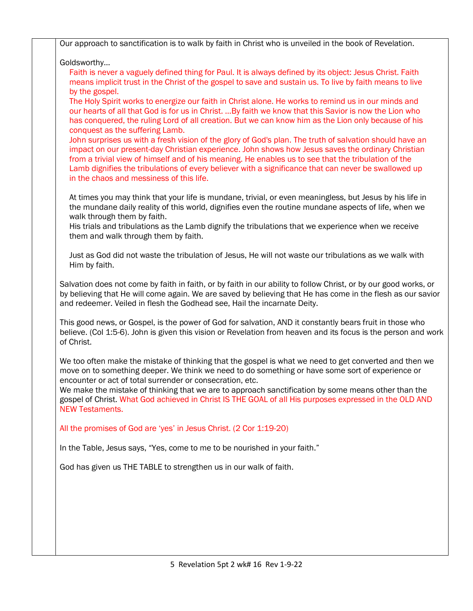| Our approach to sanctification is to walk by faith in Christ who is unveiled in the book of Revelation.                                                                                                                                                                                                                                                                                                                                                                 |
|-------------------------------------------------------------------------------------------------------------------------------------------------------------------------------------------------------------------------------------------------------------------------------------------------------------------------------------------------------------------------------------------------------------------------------------------------------------------------|
| Goldsworthy                                                                                                                                                                                                                                                                                                                                                                                                                                                             |
| Faith is never a vaguely defined thing for Paul. It is always defined by its object: Jesus Christ. Faith<br>means implicit trust in the Christ of the gospel to save and sustain us. To live by faith means to live<br>by the gospel.                                                                                                                                                                                                                                   |
| The Holy Spirit works to energize our faith in Christ alone. He works to remind us in our minds and<br>our hearts of all that God is for us in Christ.  By faith we know that this Savior is now the Lion who<br>has conquered, the ruling Lord of all creation. But we can know him as the Lion only because of his<br>conquest as the suffering Lamb.                                                                                                                 |
| John surprises us with a fresh vision of the glory of God's plan. The truth of salvation should have an<br>impact on our present-day Christian experience. John shows how Jesus saves the ordinary Christian<br>from a trivial view of himself and of his meaning. He enables us to see that the tribulation of the<br>Lamb dignifies the tribulations of every believer with a significance that can never be swallowed up<br>in the chaos and messiness of this life. |
| At times you may think that your life is mundane, trivial, or even meaningless, but Jesus by his life in<br>the mundane daily reality of this world, dignifies even the routine mundane aspects of life, when we<br>walk through them by faith.                                                                                                                                                                                                                         |
| His trials and tribulations as the Lamb dignify the tribulations that we experience when we receive<br>them and walk through them by faith.                                                                                                                                                                                                                                                                                                                             |
| Just as God did not waste the tribulation of Jesus, He will not waste our tribulations as we walk with<br>Him by faith.                                                                                                                                                                                                                                                                                                                                                 |
| Salvation does not come by faith in faith, or by faith in our ability to follow Christ, or by our good works, or<br>by believing that He will come again. We are saved by believing that He has come in the flesh as our savior<br>and redeemer. Veiled in flesh the Godhead see, Hail the incarnate Deity.                                                                                                                                                             |
| This good news, or Gospel, is the power of God for salvation, AND it constantly bears fruit in those who<br>believe. (Col 1:5-6). John is given this vision or Revelation from heaven and its focus is the person and work<br>of Christ.                                                                                                                                                                                                                                |
| We too often make the mistake of thinking that the gospel is what we need to get converted and then we<br>move on to something deeper. We think we need to do something or have some sort of experience or<br>encounter or act of total surrender or consecration, etc.                                                                                                                                                                                                 |
| We make the mistake of thinking that we are to approach sanctification by some means other than the<br>gospel of Christ. What God achieved in Christ IS THE GOAL of all His purposes expressed in the OLD AND<br><b>NEW Testaments.</b>                                                                                                                                                                                                                                 |
| All the promises of God are 'yes' in Jesus Christ. (2 Cor 1:19-20)                                                                                                                                                                                                                                                                                                                                                                                                      |
| In the Table, Jesus says, "Yes, come to me to be nourished in your faith."                                                                                                                                                                                                                                                                                                                                                                                              |
| God has given us THE TABLE to strengthen us in our walk of faith.                                                                                                                                                                                                                                                                                                                                                                                                       |
|                                                                                                                                                                                                                                                                                                                                                                                                                                                                         |
|                                                                                                                                                                                                                                                                                                                                                                                                                                                                         |
|                                                                                                                                                                                                                                                                                                                                                                                                                                                                         |
|                                                                                                                                                                                                                                                                                                                                                                                                                                                                         |